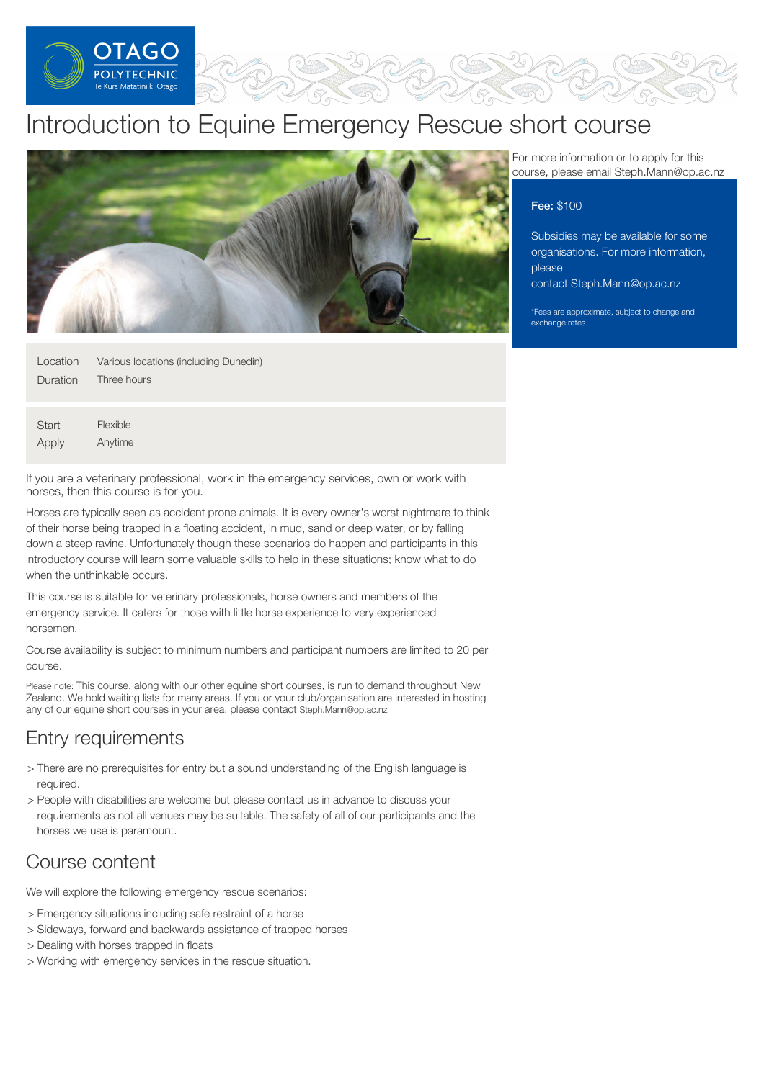

# Introduction to Equine Emergency Rescue short course



| Location        | Various locations (including Dunedin) |
|-----------------|---------------------------------------|
| <b>Duration</b> | Three hours                           |
|                 |                                       |
|                 |                                       |

**Start** Apply Flexible Anytime

If you are a veterinary professional, work in the emergency services, own or work with horses, then this course is for you.

Horses are typically seen as accident prone animals. It is every owner's worst nightmare to think of their horse being trapped in a floating accident, in mud, sand or deep water, or by falling down a steep ravine. Unfortunately though these scenarios do happen and participants in this introductory course will learn some valuable skills to help in these situations; know what to do when the unthinkable occurs.

This course is suitable for veterinary professionals, horse owners and members of the emergency service. It caters for those with little horse experience to very experienced horsemen.

Course availability is subject to minimum numbers and participant numbers are limited to 20 per course.

Please note: This course, along with our other equine short courses, is run to demand throughout New Zealand. We hold waiting lists for many areas. If you or your club/organisation are interested in hosting any of our equine short courses in your area, please contact Steph.Mann@op.ac.nz

### Entry requirements

- > There are no prerequisites for entry but a sound understanding of the English language is required.
- > People with disabilities are welcome but please contact us in advance to discuss your requirements as not all venues may be suitable. The safety of all of our participants and the horses we use is paramount.

## Course content

We will explore the following emergency rescue scenarios:

- > Emergency situations including safe restraint of a horse
- > Sideways, forward and backwards assistance of trapped horses
- > Dealing with horses trapped in floats
- > Working with emergency services in the rescue situation.

For more information or to apply for this course, please email Steph.Mann@op.ac.nz

### Fee: \$100

Subsidies may be available for some organisations. For more information, please contact [Steph.Mann@op.ac.nz](mailto:Steph.Mann@op.ac.nz)

\*Fees are approximate, subject to change and exchange rates